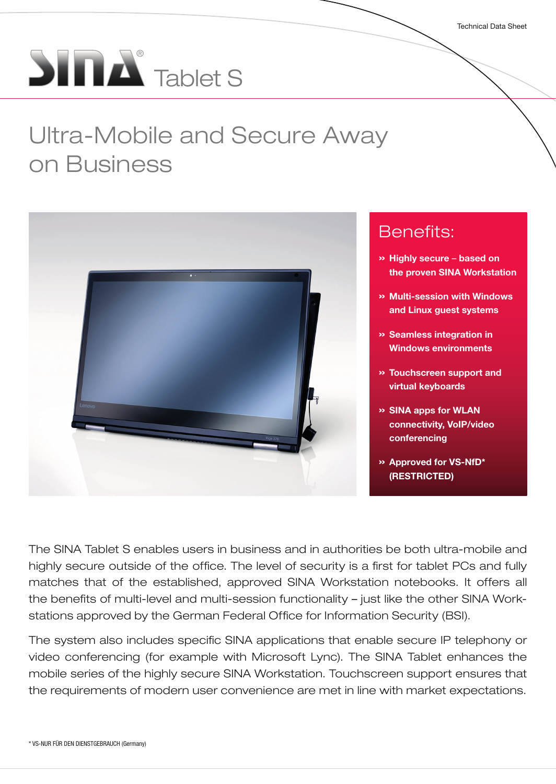# $\sum_{i=1}^{n} \sum_{i=1}^{n}$  Tablet S

## Ultra-Mobile and Secure Away on Business



- » Highly secure based on the proven SINA Workstation
- » Multi-session with Windows and Linux guest systems
- » Seamless integration in Windows environments
- » Touchscreen support and virtual keyboards
- » SINA apps for WLAN connectivity, VoIP/video
- » Approved for VS-NfD\*

The SINA Tablet S enables users in business and in authorities be both ultra-mobile and highly secure outside of the office. The level of security is a first for tablet PCs and fully matches that of the established, approved SINA Workstation notebooks. It offers all the benefits of multi-level and multi-session functionality – just like the other SINA Workstations approved by the German Federal Office for Information Security (BSI).

The system also includes specific SINA applications that enable secure IP telephony or video conferencing (for example with Microsoft Lync). The SINA Tablet enhances the mobile series of the highly secure SINA Workstation. Touchscreen support ensures that the requirements of modern user convenience are met in line with market expectations.